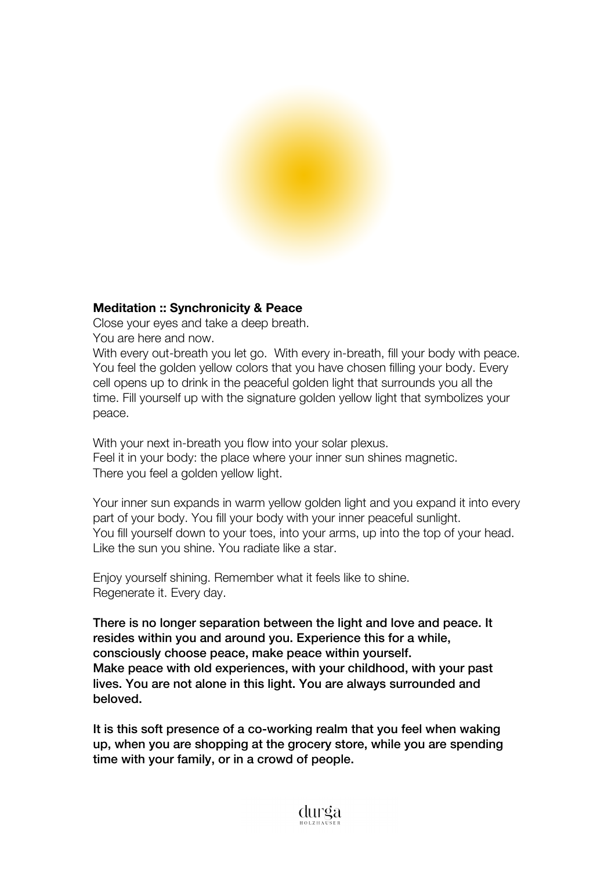

# **Meditation :: Synchronicity & Peace**

Close your eyes and take a deep breath.

You are here and now.

With every out-breath you let go. With every in-breath, fill your body with peace. You feel the golden yellow colors that you have chosen filling your body. Every cell opens up to drink in the peaceful golden light that surrounds you all the time. Fill yourself up with the signature golden yellow light that symbolizes your peace.

With your next in-breath you flow into your solar plexus. Feel it in your body: the place where your inner sun shines magnetic. There you feel a golden yellow light.

Your inner sun expands in warm yellow golden light and you expand it into every part of your body. You fill your body with your inner peaceful sunlight. You fill yourself down to your toes, into your arms, up into the top of your head. Like the sun you shine. You radiate like a star.

Enjoy yourself shining. Remember what it feels like to shine. Regenerate it. Every day.

There is no longer separation between the light and love and peace. It resides within you and around you. Experience this for a while, consciously choose peace, make peace within yourself. Make peace with old experiences, with your childhood, with your past lives. You are not alone in this light. You are always surrounded and beloved.

It is this soft presence of a co-working realm that you feel when waking up, when you are shopping at the grocery store, while you are spending time with your family, or in a crowd of people.

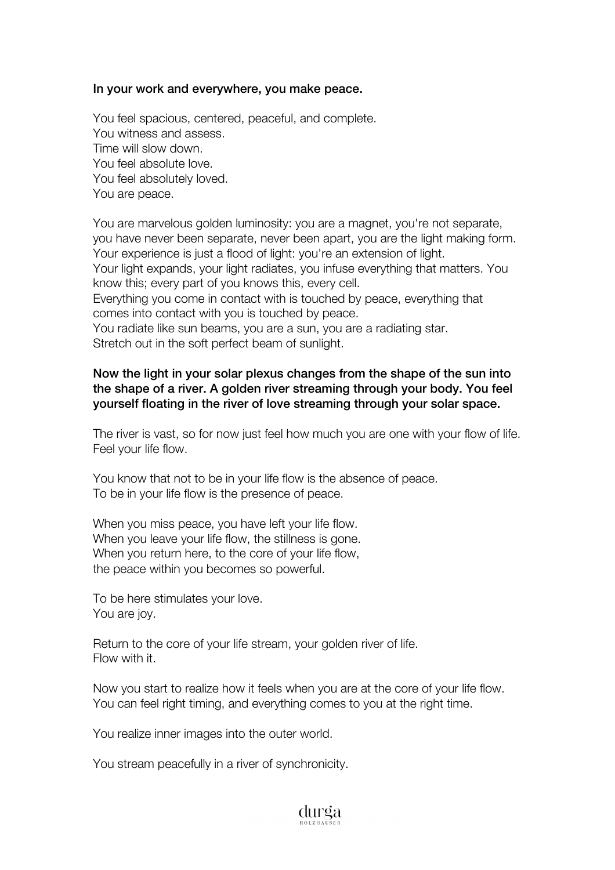#### In your work and everywhere, you make peace.

You feel spacious, centered, peaceful, and complete. You witness and assess. Time will slow down. You feel absolute love. You feel absolutely loved. You are peace.

You are marvelous golden luminosity: you are a magnet, you're not separate, you have never been separate, never been apart, you are the light making form. Your experience is just a flood of light: you're an extension of light. Your light expands, your light radiates, you infuse everything that matters. You know this; every part of you knows this, every cell. Everything you come in contact with is touched by peace, everything that comes into contact with you is touched by peace. You radiate like sun beams, you are a sun, you are a radiating star.

Stretch out in the soft perfect beam of sunlight.

# Now the light in your solar plexus changes from the shape of the sun into the shape of a river. A golden river streaming through your body. You feel yourself floating in the river of love streaming through your solar space.

The river is vast, so for now just feel how much you are one with your flow of life. Feel your life flow.

You know that not to be in your life flow is the absence of peace. To be in your life flow is the presence of peace.

When you miss peace, you have left your life flow. When you leave your life flow, the stillness is gone. When you return here, to the core of your life flow, the peace within you becomes so powerful.

To be here stimulates your love. You are joy.

Return to the core of your life stream, your golden river of life. Flow with it.

Now you start to realize how it feels when you are at the core of your life flow. You can feel right timing, and everything comes to you at the right time.

You realize inner images into the outer world.

You stream peacefully in a river of synchronicity.